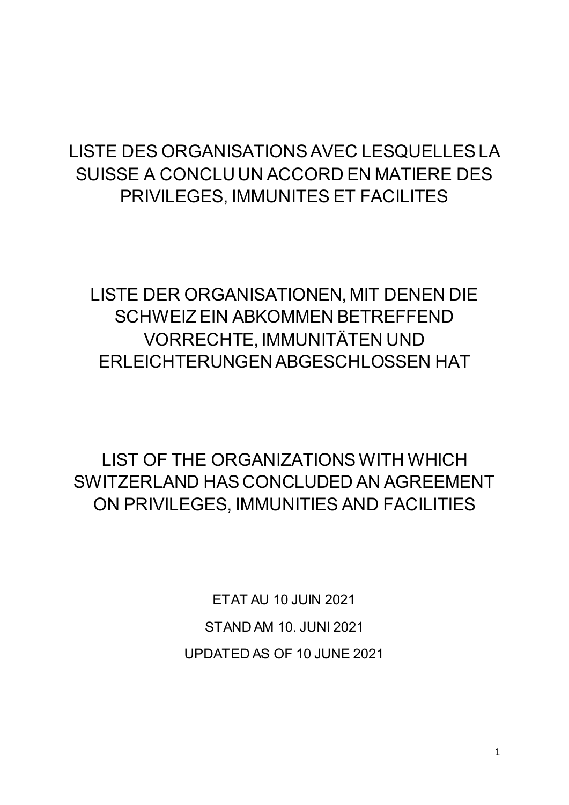## LISTE DES ORGANISATIONS AVEC LESQUELLES LA SUISSE A CONCLU UN ACCORD EN MATIERE DES PRIVILEGES, IMMUNITES ET FACILITES

LISTE DER ORGANISATIONEN, MIT DENEN DIE SCHWEIZ EIN ABKOMMEN BETREFFEND VORRECHTE, IMMUNITÄTEN UND ERLEICHTERUNGEN ABGESCHLOSSEN HAT

LIST OF THE ORGANIZATIONS WITH WHICH SWITZERLAND HAS CONCLUDED AN AGREEMENT ON PRIVILEGES, IMMUNITIES AND FACILITIES

> ETAT AU 10 JUIN 2021 STAND AM 10. JUNI 2021 UPDATED AS OF 10 JUNE 2021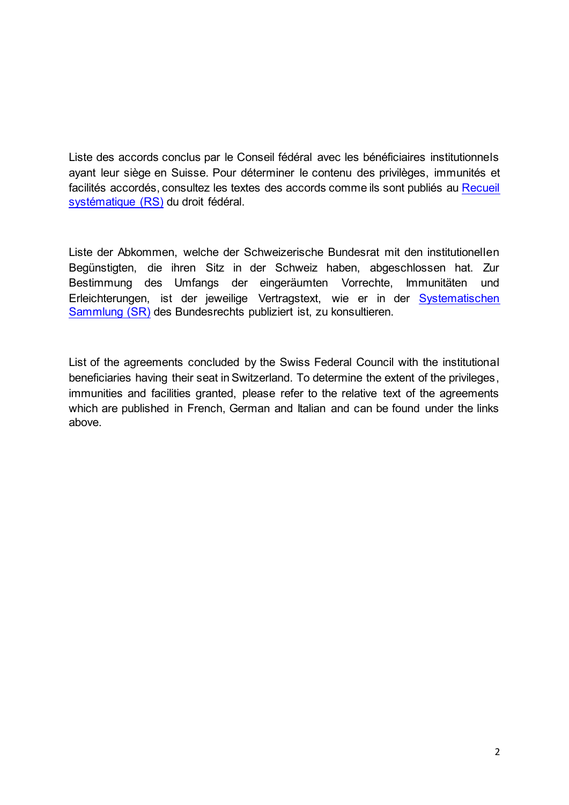Liste des accords conclus par le Conseil fédéral avec les bénéficiaires institutionnels ayant leur siège en Suisse. Pour déterminer le contenu des privilèges, immunités et facilités accordés, consultez les textes des accords comme ils sont publiés au [Recueil](https://www.fedlex.admin.ch/fr/cc?news_period=last_day&news_pageNb=1&news_order=desc&news_itemsPerPage=10)  [systématique \(RS\)](https://www.fedlex.admin.ch/fr/cc?news_period=last_day&news_pageNb=1&news_order=desc&news_itemsPerPage=10) du droit fédéral.

Liste der Abkommen, welche der Schweizerische Bundesrat mit den institutionellen Begünstigten, die ihren Sitz in der Schweiz haben, abgeschlossen hat. Zur Bestimmung des Umfangs der eingeräumten Vorrechte, Immunitäten und Erleichterungen, ist der jeweilige Vertragstext, wie er in der [Systematischen](https://www.fedlex.admin.ch/de/cc?news_period=last_day&news_pageNb=1&news_order=desc&news_itemsPerPage=10)  [Sammlung \(SR\)](https://www.fedlex.admin.ch/de/cc?news_period=last_day&news_pageNb=1&news_order=desc&news_itemsPerPage=10) des Bundesrechts publiziert ist, zu konsultieren.

List of the agreements concluded by the Swiss Federal Council with the institutional beneficiaries having their seat in Switzerland. To determine the extent of the privileges, immunities and facilities granted, please refer to the relative text of the agreements which are published in French, German and Italian and can be found under the links above.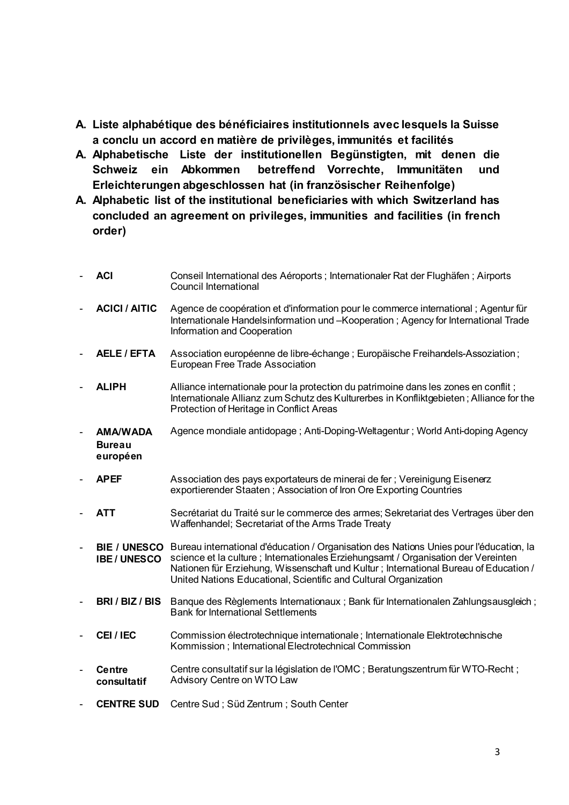- **A. Liste alphabétique des bénéficiaires institutionnels avec lesquels la Suisse a conclu un accord en matière de privilèges, immunités et facilités**
- **A. Alphabetische Liste der institutionellen Begünstigten, mit denen die Schweiz ein Abkommen betreffend Vorrechte, Immunitäten und Erleichterungen abgeschlossen hat (in französischer Reihenfolge)**
- **A. Alphabetic list of the institutional beneficiaries with which Switzerland has concluded an agreement on privileges, immunities and facilities (in french order)**

|                | <b>ACI</b>                                   | Conseil International des Aéroports ; Internationaler Rat der Flughäfen ; Airports<br><b>Council International</b>                                                                                                                                                                                                                       |
|----------------|----------------------------------------------|------------------------------------------------------------------------------------------------------------------------------------------------------------------------------------------------------------------------------------------------------------------------------------------------------------------------------------------|
|                | <b>ACICI / AITIC</b>                         | Agence de coopération et d'information pour le commerce international ; Agentur für<br>Internationale Handelsinformation und -Kooperation ; Agency for International Trade<br>Information and Cooperation                                                                                                                                |
|                | <b>AELE / EFTA</b>                           | Association européenne de libre-échange ; Europäische Freihandels-Assoziation;<br>European Free Trade Association                                                                                                                                                                                                                        |
|                | <b>ALIPH</b>                                 | Alliance internationale pour la protection du patrimoine dans les zones en conflit;<br>Internationale Allianz zum Schutz des Kulturerbes in Konfliktgebieten; Alliance for the<br>Protection of Heritage in Conflict Areas                                                                                                               |
| $\overline{a}$ | <b>AMA/WADA</b><br><b>Bureau</b><br>européen | Agence mondiale antidopage; Anti-Doping-Weltagentur; World Anti-doping Agency                                                                                                                                                                                                                                                            |
|                | <b>APEF</b>                                  | Association des pays exportateurs de minerai de fer ; Vereinigung Eisenerz<br>exportierender Staaten; Association of Iron Ore Exporting Countries                                                                                                                                                                                        |
|                | <b>ATT</b>                                   | Secrétariat du Traité sur le commerce des armes; Sekretariat des Vertrages über den<br>Waffenhandel; Secretariat of the Arms Trade Treaty                                                                                                                                                                                                |
|                | <b>BIE / UNESCO</b><br><b>IBE/UNESCO</b>     | Bureau international d'éducation / Organisation des Nations Unies pour l'éducation, la<br>science et la culture ; Internationales Erziehungsamt / Organisation der Vereinten<br>Nationen für Erziehung, Wissenschaft und Kultur; International Bureau of Education /<br>United Nations Educational, Scientific and Cultural Organization |
|                | BRI/BIZ/BIS                                  | Banque des Règlements Internationaux ; Bank für Internationalen Zahlungsausgleich ;<br><b>Bank for International Settlements</b>                                                                                                                                                                                                         |
|                | CEI/IEC                                      | Commission électrotechnique internationale ; Internationale Elektrotechnische<br>Kommission; International Electrotechnical Commission                                                                                                                                                                                                   |
|                | <b>Centre</b><br>consultatif                 | Centre consultatif sur la législation de l'OMC ; Beratungszentrum für WTO-Recht ;<br>Advisory Centre on WTO Law                                                                                                                                                                                                                          |
|                | <b>CENTRE SUD</b>                            | Centre Sud; Süd Zentrum; South Center                                                                                                                                                                                                                                                                                                    |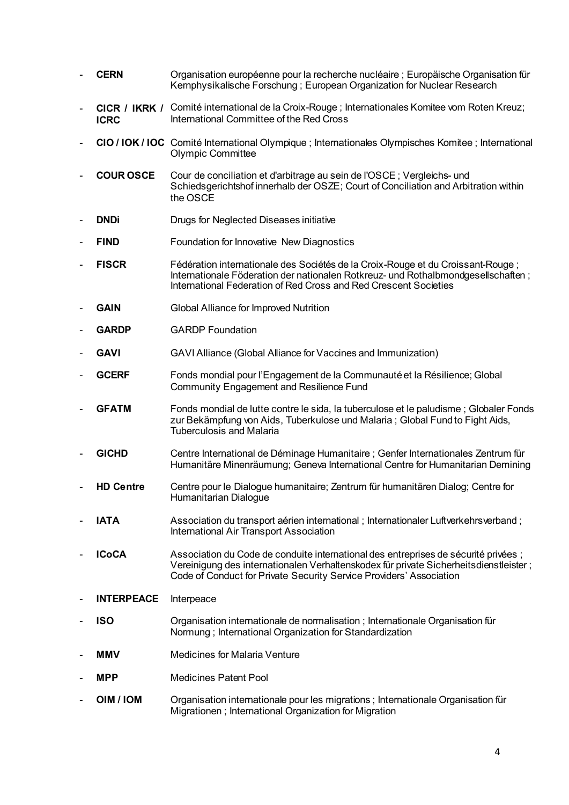- **CERN** Organisation européenne pour la recherche nucléaire ; Europäische Organisation für Kernphysikalische Forschung ; European Organization for Nuclear Research - **CICR / IKRK /** Comité international de la Croix-Rouge ; Internationales Komitee vom Roten Kreuz; **ICRC** International Committee of the Red Cross - **CIO / IOK / IOC** Comité International Olympique ; Internationales Olympisches Komitee ; International Olympic Committee - **COUR OSCE** Cour de conciliation et d'arbitrage au sein de l'OSCE ; Vergleichs- und Schiedsgerichtshof innerhalb der OSZE; Court of Conciliation and Arbitration within the OSCE **DNDi** Drugs for Neglected Diseases initiative **FIND Foundation for Innovative New Diagnostics** - **FISCR** Fédération internationale des Sociétés de la Croix-Rouge et du Croissant-Rouge ; Internationale Föderation der nationalen Rotkreuz- und Rothalbmondgesellschaften ; International Federation of Red Cross and Red Crescent Societies **GAIN Global Alliance for Improved Nutrition** GARDP **GARDP** Foundation GAVI GAVI Alliance (Global Alliance for Vaccines and Immunization) **GCERF** Fonds mondial pour l'Engagement de la Communauté et la Résilience; Global Community Engagement and Resilience Fund GFATM Fonds mondial de lutte contre le sida, la tuberculose et le paludisme ; Globaler Fonds zur Bekämpfung von Aids, Tuberkulose und Malaria ; Global Fund to Fight Aids, Tuberculosis and Malaria - **GICHD** Centre International de Déminage Humanitaire ; Genfer Internationales Zentrum für Humanitäre Minenräumung; Geneva International Centre for Humanitarian Demining - **HD Centre** Centre pour le Dialogue humanitaire; Zentrum für humanitären Dialog; Centre for Humanitarian Dialogue **IATA** Association du transport aérien international : Internationaler Luftverkehrsverband : International Air Transport Association **ICoCA** Association du Code de conduite international des entreprises de sécurité privées ; Vereinigung des internationalen Verhaltenskodex für private Sicherheitsdienstleister ; Code of Conduct for Private Security Service Providers' Association **INTERPEACE** Interpeace **ISO** Organisation internationale de normalisation; Internationale Organisation für Normung ; International Organization for Standardization **MMV** Medicines for Malaria Venture **MPP** Medicines Patent Pool **OIM / IOM** Organisation internationale pour les migrations ; Internationale Organisation für Migrationen ; International Organization for Migration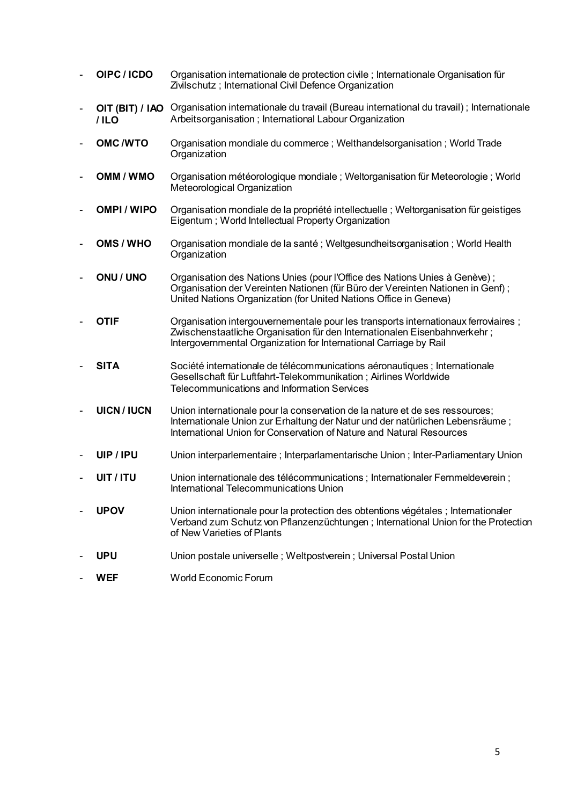- **OIPC / ICDO** Organisation internationale de protection civile ; Internationale Organisation für Zivilschutz ; International Civil Defence Organization
- **OIT (BIT) / IAO / ILO** Organisation internationale du travail (Bureau international du travail) ; Internationale Arbeitsorganisation ; International Labour Organization
- **OMC /WTO** Organisation mondiale du commerce ; Welthandelsorganisation ; World Trade **Organization**
- **OMM / WMO** Organisation météorologique mondiale ; Weltorganisation für Meteorologie ; World Meteorological Organization
- **OMPI / WIPO** Organisation mondiale de la propriété intellectuelle ; Weltorganisation für geistiges Eigentum ; World Intellectual Property Organization
- **OMS / WHO** Organisation mondiale de la santé ; Weltgesundheitsorganisation ; World Health **Organization**
- **ONU / UNO** Organisation des Nations Unies (pour l'Office des Nations Unies à Genève) ; Organisation der Vereinten Nationen (für Büro der Vereinten Nationen in Genf) ; United Nations Organization (for United Nations Office in Geneva)
- **OTIF** Organisation intergouvernementale pour les transports internationaux ferroviaires : Zwischenstaatliche Organisation für den Internationalen Eisenbahnverkehr ; Intergovernmental Organization for International Carriage by Rail
- **SITA** Société internationale de télécommunications aéronautiques ; Internationale Gesellschaft für Luftfahrt-Telekommunikation ; Airlines Worldwide Telecommunications and Information Services
- **UICN / IUCN** Union internationale pour la conservation de la nature et de ses ressources; Internationale Union zur Erhaltung der Natur und der natürlichen Lebensräume ; International Union for Conservation of Nature and Natural Resources
- **UIP / IPU** Union interparlementaire ; Interparlamentarische Union ; Inter-Parliamentary Union
- **UIT / ITU** Union internationale des télécommunications : Internationaler Fernmeldeverein : International Telecommunications Union
- UPOV Union internationale pour la protection des obtentions végétales ; Internationaler Verband zum Schutz von Pflanzenzüchtungen ; International Union for the Protection of New Varieties of Plants
- **UPU** Union postale universelle ; Weltpostverein ; Universal Postal Union
- **WEF** World Economic Forum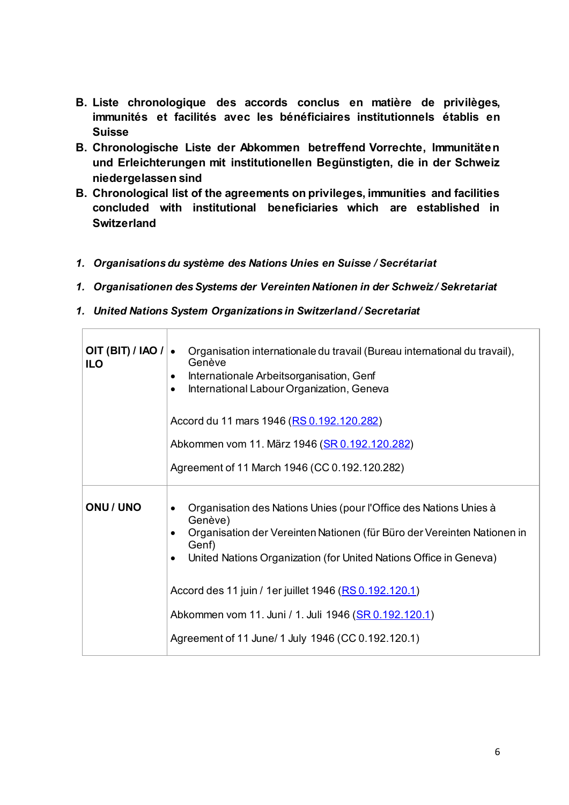- **B. Liste chronologique des accords conclus en matière de privilèges, immunités et facilités avec les bénéficiaires institutionnels établis en Suisse**
- **B. Chronologische Liste der Abkommen betreffend Vorrechte, Immunitäten und Erleichterungen mit institutionellen Begünstigten, die in der Schweiz niedergelassen sind**
- **B. Chronological list of the agreements on privileges, immunities and facilities concluded with institutional beneficiaries which are established in Switzerland**
- *1. Organisations du système des Nations Unies en Suisse / Secrétariat*
- *1. Organisationen des Systems der Vereinten Nationen in der Schweiz / Sekretariat*
- *1. United Nations System Organizations in Switzerland / Secretariat*

| OIT (BIT) / IAO / $\cdot$<br><b>ILO</b> | Organisation internationale du travail (Bureau international du travail),<br>Genève<br>Internationale Arbeitsorganisation, Genf<br>$\bullet$<br>International Labour Organization, Geneva<br>٠<br>Accord du 11 mars 1946 (RS 0.192.120.282)                                                     |
|-----------------------------------------|-------------------------------------------------------------------------------------------------------------------------------------------------------------------------------------------------------------------------------------------------------------------------------------------------|
|                                         | Abkommen vom 11. März 1946 (SR 0.192.120.282)                                                                                                                                                                                                                                                   |
|                                         | Agreement of 11 March 1946 (CC 0.192.120.282)                                                                                                                                                                                                                                                   |
| <b>ONU / UNO</b>                        | Organisation des Nations Unies (pour l'Office des Nations Unies à<br>Genève)<br>Organisation der Vereinten Nationen (für Büro der Vereinten Nationen in<br>Genf)<br>United Nations Organization (for United Nations Office in Geneva)<br>Accord des 11 juin / 1er juillet 1946 (RS 0.192.120.1) |
|                                         | Abkommen vom 11. Juni / 1. Juli 1946 (SR 0.192.120.1)                                                                                                                                                                                                                                           |
|                                         | Agreement of 11 June/ 1 July 1946 (CC 0.192.120.1)                                                                                                                                                                                                                                              |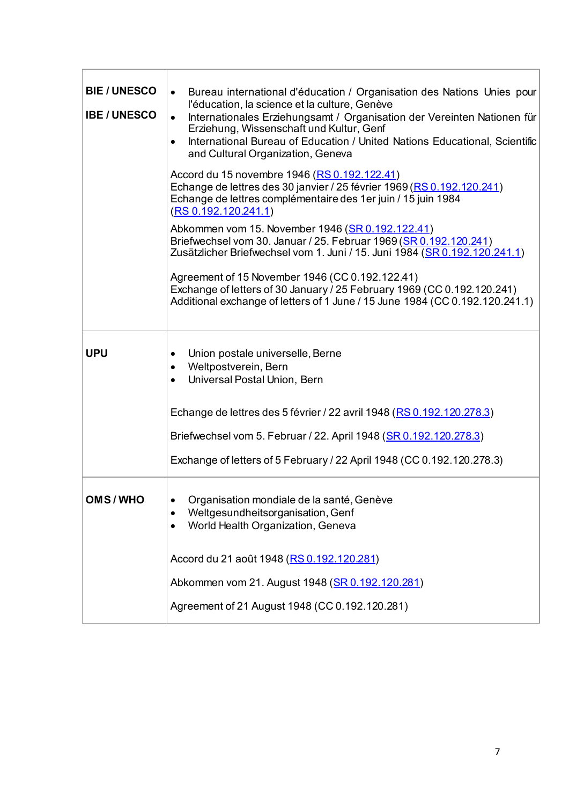| <b>BIE/UNESCO</b><br><b>IBE / UNESCO</b> | Bureau international d'éducation / Organisation des Nations Unies pour<br>$\bullet$<br>l'éducation, la science et la culture, Genève<br>Internationales Erziehungsamt / Organisation der Vereinten Nationen für<br>$\bullet$<br>Erziehung, Wissenschaft und Kultur, Genf<br>International Bureau of Education / United Nations Educational, Scientific<br>$\bullet$<br>and Cultural Organization, Geneva<br>Accord du 15 novembre 1946 (RS 0.192.122.41)<br>Echange de lettres des 30 janvier / 25 février 1969 (RS 0.192.120.241)<br>Echange de lettres complémentaire des 1er juin / 15 juin 1984<br>(RS 0.192.120.241.1)<br>Abkommen vom 15. November 1946 (SR 0.192.122.41)<br>Briefwechsel vom 30. Januar / 25. Februar 1969 (SR 0.192.120.241)<br>Zusätzlicher Briefwechsel vom 1. Juni / 15. Juni 1984 (SR 0.192.120.241.1)<br>Agreement of 15 November 1946 (CC 0.192.122.41)<br>Exchange of letters of 30 January / 25 February 1969 (CC 0.192.120.241)<br>Additional exchange of letters of 1 June / 15 June 1984 (CC 0.192.120.241.1) |
|------------------------------------------|--------------------------------------------------------------------------------------------------------------------------------------------------------------------------------------------------------------------------------------------------------------------------------------------------------------------------------------------------------------------------------------------------------------------------------------------------------------------------------------------------------------------------------------------------------------------------------------------------------------------------------------------------------------------------------------------------------------------------------------------------------------------------------------------------------------------------------------------------------------------------------------------------------------------------------------------------------------------------------------------------------------------------------------------------|
| <b>UPU</b>                               | Union postale universelle, Berne<br>Weltpostverein, Bern<br>Universal Postal Union, Bern<br>Echange de lettres des 5 février / 22 avril 1948 (RS 0.192.120.278.3)<br>Briefwechsel vom 5. Februar / 22. April 1948 (SR 0.192.120.278.3)<br>Exchange of letters of 5 February / 22 April 1948 (CC 0.192.120.278.3)                                                                                                                                                                                                                                                                                                                                                                                                                                                                                                                                                                                                                                                                                                                                 |
| OMS/WHO                                  | Organisation mondiale de la santé, Genève<br>Weltgesundheitsorganisation, Genf<br>World Health Organization, Geneva<br>٠<br>Accord du 21 août 1948 (RS 0.192.120.281)<br>Abkommen vom 21. August 1948 (SR 0.192.120.281)<br>Agreement of 21 August 1948 (CC 0.192.120.281)                                                                                                                                                                                                                                                                                                                                                                                                                                                                                                                                                                                                                                                                                                                                                                       |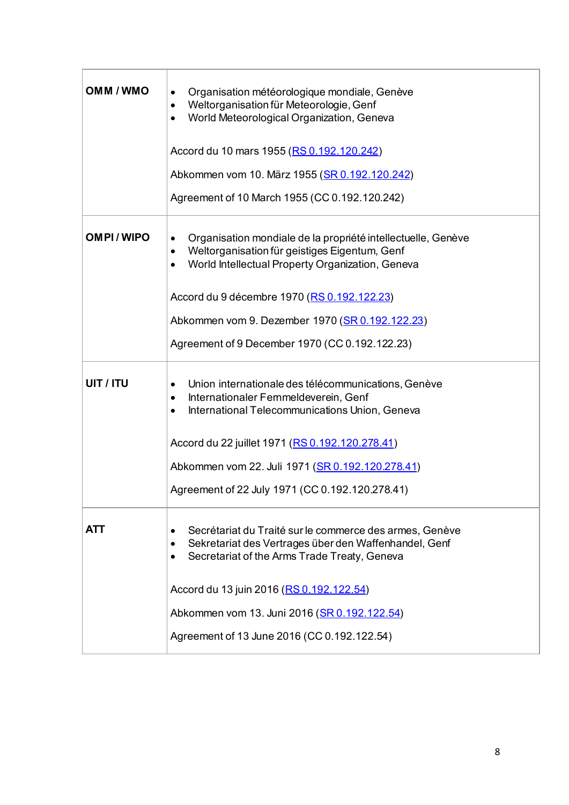| OMM / WMO        | Organisation météorologique mondiale, Genève<br>٠<br>Weltorganisation für Meteorologie, Genf<br>$\bullet$<br>World Meteorological Organization, Geneva<br>٠<br>Accord du 10 mars 1955 (RS 0.192.120.242)<br>Abkommen vom 10. März 1955 (SR 0.192.120.242)<br>Agreement of 10 March 1955 (CC 0.192.120.242)                                                   |
|------------------|--------------------------------------------------------------------------------------------------------------------------------------------------------------------------------------------------------------------------------------------------------------------------------------------------------------------------------------------------------------|
| <b>OMPI/WIPO</b> | Organisation mondiale de la propriété intellectuelle, Genève<br>$\bullet$<br>Weltorganisation für geistiges Eigentum, Genf<br>$\bullet$<br>World Intellectual Property Organization, Geneva<br>$\bullet$<br>Accord du 9 décembre 1970 (RS 0.192.122.23)<br>Abkommen vom 9. Dezember 1970 (SR 0.192.122.23)<br>Agreement of 9 December 1970 (CC 0.192.122.23) |
| UIT / ITU        | Union internationale des télécommunications, Genève<br>٠<br>Internationaler Fernmeldeverein, Genf<br>٠<br>International Telecommunications Union, Geneva<br>٠<br>Accord du 22 juillet 1971 (RS 0.192.120.278.41)<br>Abkommen vom 22. Juli 1971 (SR 0.192.120.278.41)<br>Agreement of 22 July 1971 (CC 0.192.120.278.41)                                      |
| ATT              | Secrétariat du Traité sur le commerce des armes, Genève<br>Sekretariat des Vertrages über den Waffenhandel, Genf<br>Secretariat of the Arms Trade Treaty, Geneva<br>٠<br>Accord du 13 juin 2016 (RS 0.192.122.54)<br>Abkommen vom 13. Juni 2016 (SR 0.192.122.54)<br>Agreement of 13 June 2016 (CC 0.192.122.54)                                             |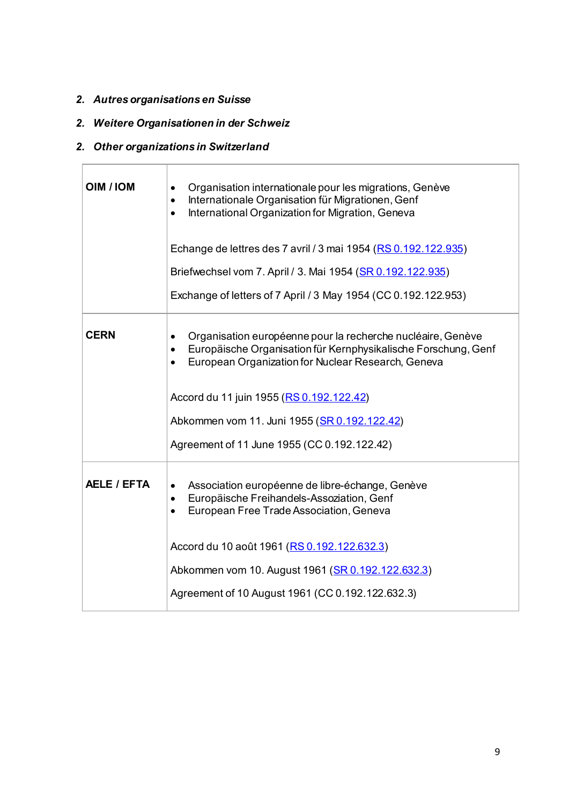## *2. Autres organisations en Suisse*

## *2. Weitere Organisationen in der Schweiz*

## *2. Other organizations in Switzerland*

| <b>OIM / IOM</b> | Organisation internationale pour les migrations, Genève<br>Internationale Organisation für Migrationen, Genf<br>٠<br>International Organization for Migration, Geneva<br>$\bullet$  |
|------------------|-------------------------------------------------------------------------------------------------------------------------------------------------------------------------------------|
|                  | Echange de lettres des 7 avril / 3 mai 1954 (RS 0.192.122.935)                                                                                                                      |
|                  | Briefwechsel vom 7. April / 3. Mai 1954 (SR 0.192.122.935)                                                                                                                          |
|                  | Exchange of letters of 7 April / 3 May 1954 (CC 0.192.122.953)                                                                                                                      |
| <b>CERN</b>      | Organisation européenne pour la recherche nucléaire, Genève<br>Europäische Organisation für Kernphysikalische Forschung, Genf<br>European Organization for Nuclear Research, Geneva |
|                  | Accord du 11 juin 1955 (RS 0.192.122.42)                                                                                                                                            |
|                  | Abkommen vom 11. Juni 1955 (SR 0.192.122.42)                                                                                                                                        |
|                  | Agreement of 11 June 1955 (CC 0.192.122.42)                                                                                                                                         |
| AELE / EFTA      | Association européenne de libre-échange, Genève<br>$\bullet$<br>Europäische Freihandels-Assoziation, Genf<br>$\bullet$<br>European Free Trade Association, Geneva<br>$\bullet$      |
|                  | Accord du 10 août 1961 (RS 0.192.122.632.3)                                                                                                                                         |
|                  | Abkommen vom 10. August 1961 (SR 0.192.122.632.3)                                                                                                                                   |
|                  | Agreement of 10 August 1961 (CC 0.192.122.632.3)                                                                                                                                    |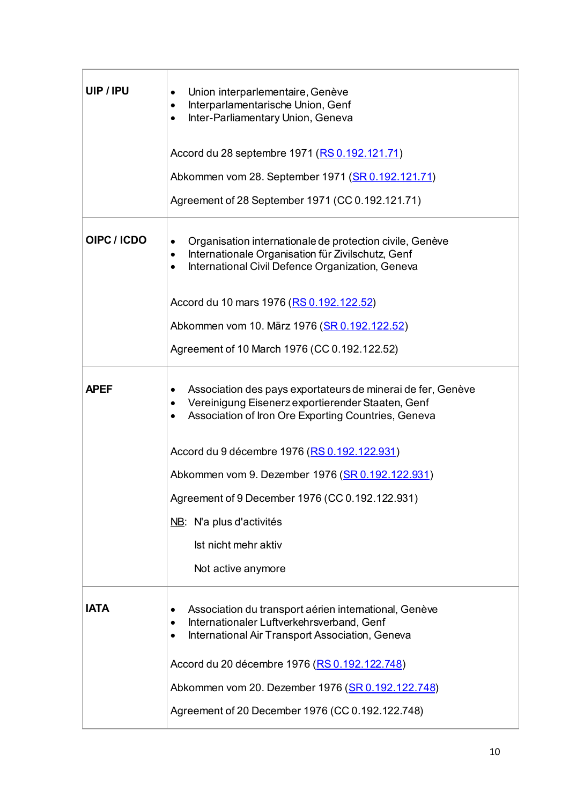| UIP/IPU     | Union interparlementaire, Genève<br>Interparlamentarische Union, Genf<br>٠<br>Inter-Parliamentary Union, Geneva<br>$\bullet$                                                        |
|-------------|-------------------------------------------------------------------------------------------------------------------------------------------------------------------------------------|
|             | Accord du 28 septembre 1971 (RS 0.192.121.71)                                                                                                                                       |
|             | Abkommen vom 28. September 1971 (SR 0.192.121.71)                                                                                                                                   |
|             | Agreement of 28 September 1971 (CC 0.192.121.71)                                                                                                                                    |
| OIPC / ICDO | Organisation internationale de protection civile, Genève<br>Internationale Organisation für Zivilschutz, Genf<br>٠<br>International Civil Defence Organization, Geneva<br>$\bullet$ |
|             | Accord du 10 mars 1976 (RS 0.192.122.52)                                                                                                                                            |
|             | Abkommen vom 10. März 1976 (SR 0.192.122.52)                                                                                                                                        |
|             | Agreement of 10 March 1976 (CC 0.192.122.52)                                                                                                                                        |
| <b>APEF</b> | Association des pays exportateurs de minerai de fer, Genève<br>Vereinigung Eisenerz exportierender Staaten, Genf<br>Association of Iron Ore Exporting Countries, Geneva             |
|             | Accord du 9 décembre 1976 (RS 0.192.122.931)                                                                                                                                        |
|             | Abkommen vom 9. Dezember 1976 (SR 0.192.122.931)                                                                                                                                    |
|             | Agreement of 9 December 1976 (CC 0.192.122.931)                                                                                                                                     |
|             | NB: N'a plus d'activités                                                                                                                                                            |
|             | Ist nicht mehr aktiv                                                                                                                                                                |
|             | Not active anymore                                                                                                                                                                  |
| <b>IATA</b> | Association du transport aérien international, Genève<br>Internationaler Luftverkehrsverband, Genf<br>International Air Transport Association, Geneva<br>$\bullet$                  |
|             | Accord du 20 décembre 1976 (RS 0.192.122.748)                                                                                                                                       |
|             | Abkommen vom 20. Dezember 1976 (SR 0.192.122.748)                                                                                                                                   |
|             | Agreement of 20 December 1976 (CC 0.192.122.748)                                                                                                                                    |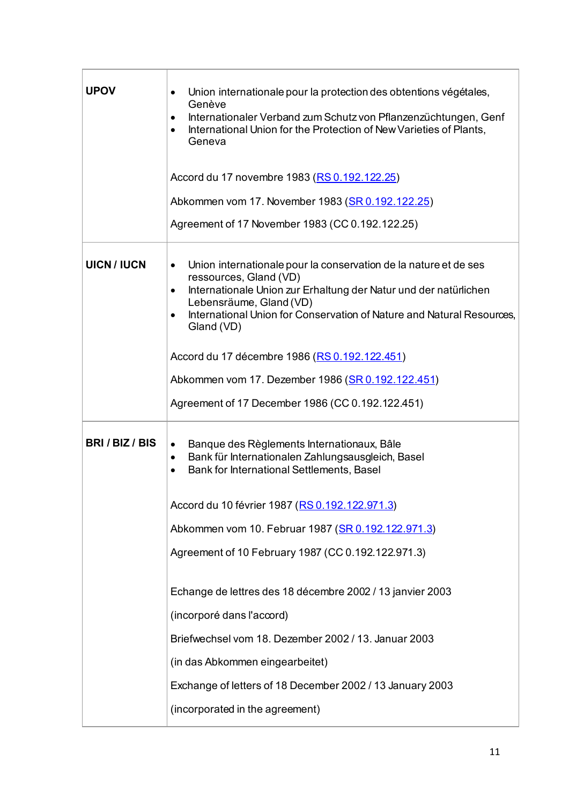| <b>UPOV</b>      | Union internationale pour la protection des obtentions végétales,<br>$\bullet$<br>Genève<br>Internationaler Verband zum Schutz von Pflanzenzüchtungen, Genf<br>$\bullet$<br>International Union for the Protection of New Varieties of Plants,<br>$\bullet$<br>Geneva<br>Accord du 17 novembre 1983 (RS 0.192.122.25)<br>Abkommen vom 17. November 1983 (SR 0.192.122.25)<br>Agreement of 17 November 1983 (CC 0.192.122.25) |
|------------------|------------------------------------------------------------------------------------------------------------------------------------------------------------------------------------------------------------------------------------------------------------------------------------------------------------------------------------------------------------------------------------------------------------------------------|
| <b>UICN/IUCN</b> | Union internationale pour la conservation de la nature et de ses<br>$\bullet$<br>ressources, Gland (VD)<br>Internationale Union zur Erhaltung der Natur und der natürlichen<br>$\bullet$<br>Lebensräume, Gland (VD)<br>International Union for Conservation of Nature and Natural Resources,<br>$\bullet$<br>Gland (VD)<br>Accord du 17 décembre 1986 (RS 0.192.122.451)                                                     |
|                  | Abkommen vom 17. Dezember 1986 (SR 0.192.122.451)<br>Agreement of 17 December 1986 (CC 0.192.122.451)                                                                                                                                                                                                                                                                                                                        |
| BRI/BIZ/BIS      | Banque des Règlements Internationaux, Bâle<br>$\bullet$<br>Bank für Internationalen Zahlungsausgleich, Basel<br>٠<br>Bank for International Settlements, Basel<br>$\bullet$<br>Accord du 10 février 1987 (RS 0.192.122.971.3)<br>Abkommen vom 10. Februar 1987 (SR 0.192.122.971.3)<br>Agreement of 10 February 1987 (CC 0.192.122.971.3)                                                                                    |
|                  | Echange de lettres des 18 décembre 2002 / 13 janvier 2003<br>(incorporé dans l'accord)<br>Briefwechsel vom 18. Dezember 2002 / 13. Januar 2003<br>(in das Abkommen eingearbeitet)<br>Exchange of letters of 18 December 2002 / 13 January 2003<br>(incorporated in the agreement)                                                                                                                                            |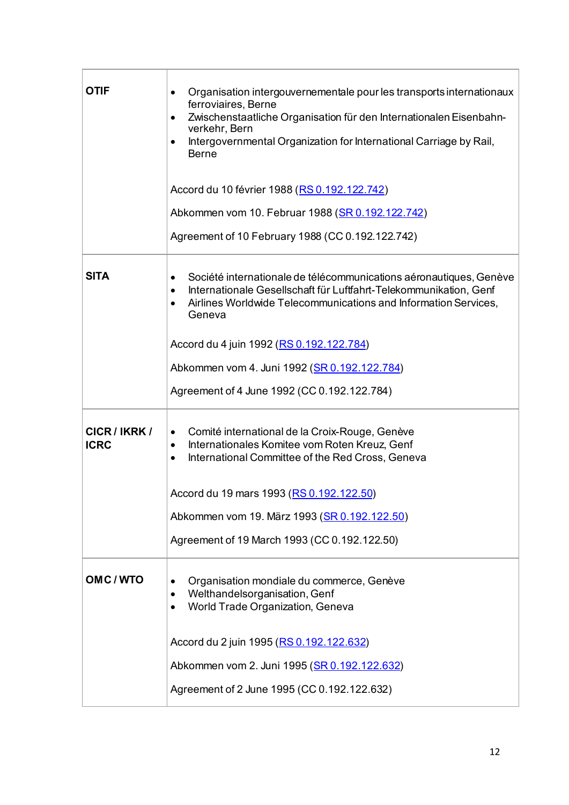| OTIF                         | Organisation intergouvernementale pour les transports internationaux<br>٠<br>ferroviaires, Berne<br>Zwischenstaatliche Organisation für den Internationalen Eisenbahn-<br>$\bullet$<br>verkehr, Bern<br>Intergovernmental Organization for International Carriage by Rail,<br>$\bullet$<br><b>Berne</b><br>Accord du 10 février 1988 (RS 0.192.122.742)<br>Abkommen vom 10. Februar 1988 (SR 0.192.122.742)<br>Agreement of 10 February 1988 (CC 0.192.122.742) |
|------------------------------|-----------------------------------------------------------------------------------------------------------------------------------------------------------------------------------------------------------------------------------------------------------------------------------------------------------------------------------------------------------------------------------------------------------------------------------------------------------------|
| <b>SITA</b>                  | Société internationale de télécommunications aéronautiques, Genève<br>٠<br>Internationale Gesellschaft für Luftfahrt-Telekommunikation, Genf<br>$\bullet$<br>Airlines Worldwide Telecommunications and Information Services,<br>Geneva<br>Accord du 4 juin 1992 (RS 0.192.122.784)<br>Abkommen vom 4. Juni 1992 (SR 0.192.122.784)<br>Agreement of 4 June 1992 (CC 0.192.122.784)                                                                               |
| CICR / IKRK /<br><b>ICRC</b> | Comité international de la Croix-Rouge, Genève<br>$\bullet$<br>Internationales Komitee vom Roten Kreuz, Genf<br>$\bullet$<br>International Committee of the Red Cross, Geneva<br>$\bullet$<br>Accord du 19 mars 1993 (RS 0.192.122.50)<br>Abkommen vom 19. März 1993 (SR 0.192.122.50)<br>Agreement of 19 March 1993 (CC 0.192.122.50)                                                                                                                          |
| OMC/WTO                      | Organisation mondiale du commerce, Genève<br>Welthandelsorganisation, Genf<br>World Trade Organization, Geneva<br>Accord du 2 juin 1995 (RS 0.192.122.632)<br>Abkommen vom 2. Juni 1995 (SR 0.192.122.632)<br>Agreement of 2 June 1995 (CC 0.192.122.632)                                                                                                                                                                                                       |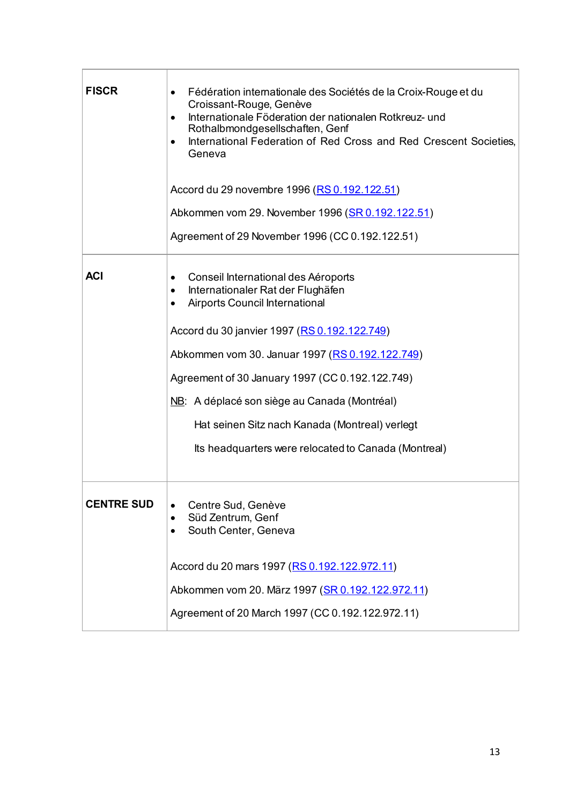| <b>FISCR</b>      | Fédération internationale des Sociétés de la Croix-Rouge et du<br>$\bullet$<br>Croissant-Rouge, Genève<br>Internationale Föderation der nationalen Rotkreuz- und<br>$\bullet$<br>Rothalbmondgesellschaften, Genf<br>International Federation of Red Cross and Red Crescent Societies,<br>$\bullet$<br>Geneva<br>Accord du 29 novembre 1996 (RS 0.192.122.51)<br>Abkommen vom 29. November 1996 (SR 0.192.122.51)<br>Agreement of 29 November 1996 (CC 0.192.122.51) |
|-------------------|---------------------------------------------------------------------------------------------------------------------------------------------------------------------------------------------------------------------------------------------------------------------------------------------------------------------------------------------------------------------------------------------------------------------------------------------------------------------|
| <b>ACI</b>        | Conseil International des Aéroports<br>٠<br>Internationaler Rat der Flughäfen<br>٠<br><b>Airports Council International</b><br>$\bullet$<br>Accord du 30 janvier 1997 (RS 0.192.122.749)<br>Abkommen vom 30. Januar 1997 (RS 0.192.122.749)<br>Agreement of 30 January 1997 (CC 0.192.122.749)<br>NB: A déplacé son siège au Canada (Montréal)<br>Hat seinen Sitz nach Kanada (Montreal) verlegt<br>Its headquarters were relocated to Canada (Montreal)            |
| <b>CENTRE SUD</b> | Centre Sud, Genève<br>$\bullet$<br>Süd Zentrum, Genf<br>South Center, Geneva<br>Accord du 20 mars 1997 (RS 0.192.122.972.11)<br>Abkommen vom 20. März 1997 (SR 0.192.122.972.11)<br>Agreement of 20 March 1997 (CC 0.192.122.972.11)                                                                                                                                                                                                                                |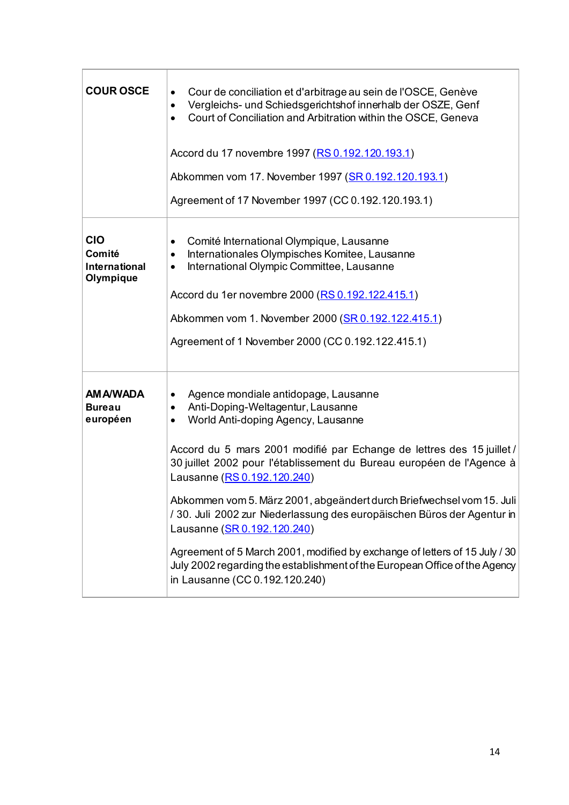| <b>COUR OSCE</b>                                          | Cour de conciliation et d'arbitrage au sein de l'OSCE, Genève<br>Vergleichs- und Schiedsgerichtshof innerhalb der OSZE, Genf<br>$\bullet$<br>Court of Conciliation and Arbitration within the OSCE, Geneva<br>$\bullet$<br>Accord du 17 novembre 1997 (RS 0.192.120.193.1)<br>Abkommen vom 17. November 1997 (SR 0.192.120.193.1)<br>Agreement of 17 November 1997 (CC 0.192.120.193.1)                                                                                                                                                                                                                                                                                                                          |
|-----------------------------------------------------------|------------------------------------------------------------------------------------------------------------------------------------------------------------------------------------------------------------------------------------------------------------------------------------------------------------------------------------------------------------------------------------------------------------------------------------------------------------------------------------------------------------------------------------------------------------------------------------------------------------------------------------------------------------------------------------------------------------------|
| <b>CIO</b><br>Comité<br><b>International</b><br>Olympique | Comité International Olympique, Lausanne<br>Internationales Olympisches Komitee, Lausanne<br>٠<br>International Olympic Committee, Lausanne<br>٠<br>Accord du 1er novembre 2000 (RS 0.192.122.415.1)<br>Abkommen vom 1. November 2000 (SR 0.192.122.415.1)<br>Agreement of 1 November 2000 (CC 0.192.122.415.1)                                                                                                                                                                                                                                                                                                                                                                                                  |
| <b>AM A/WADA</b><br><b>Bureau</b><br>européen             | Agence mondiale antidopage, Lausanne<br>$\bullet$<br>Anti-Doping-Weltagentur, Lausanne<br>$\bullet$<br>World Anti-doping Agency, Lausanne<br>٠<br>Accord du 5 mars 2001 modifié par Echange de lettres des 15 juillet /<br>30 juillet 2002 pour l'établissement du Bureau européen de l'Agence à<br>Lausanne (RS 0.192.120.240)<br>Abkommen vom 5. März 2001, abgeändert durch Briefwechsel vom 15. Juli<br>/ 30. Juli 2002 zur Niederlassung des europäischen Büros der Agentur in<br>Lausanne (SR 0.192.120.240)<br>Agreement of 5 March 2001, modified by exchange of letters of 15 July / 30<br>July 2002 regarding the establishment of the European Office of the Agency<br>in Lausanne (CC 0.192.120.240) |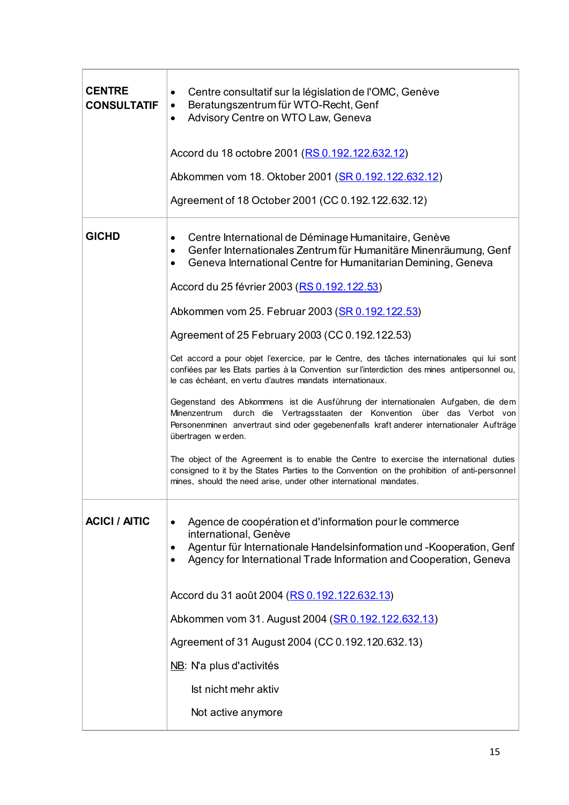| <b>CENTRE</b><br><b>CONSULTATIF</b> | Centre consultatif sur la législation de l'OMC, Genève<br>٠<br>Beratungszentrum für WTO-Recht, Genf<br>$\bullet$<br>Advisory Centre on WTO Law, Geneva<br>$\bullet$                                                                                                              |
|-------------------------------------|----------------------------------------------------------------------------------------------------------------------------------------------------------------------------------------------------------------------------------------------------------------------------------|
|                                     | Accord du 18 octobre 2001 (RS 0.192.122.632.12)                                                                                                                                                                                                                                  |
|                                     | Abkommen vom 18. Oktober 2001 (SR 0.192.122.632.12)                                                                                                                                                                                                                              |
|                                     | Agreement of 18 October 2001 (CC 0.192.122.632.12)                                                                                                                                                                                                                               |
| <b>GICHD</b>                        | Centre International de Déminage Humanitaire, Genève<br>٠<br>Genfer Internationales Zentrum für Humanitäre Minenräumung, Genf<br>٠<br>Geneva International Centre for Humanitarian Demining, Geneva<br>$\bullet$                                                                 |
|                                     | Accord du 25 février 2003 (RS 0.192.122.53)                                                                                                                                                                                                                                      |
|                                     | Abkommen vom 25. Februar 2003 (SR 0.192.122.53)                                                                                                                                                                                                                                  |
|                                     | Agreement of 25 February 2003 (CC 0.192.122.53)                                                                                                                                                                                                                                  |
|                                     | Cet accord a pour objet l'exercice, par le Centre, des tâches internationales qui lui sont<br>confiées par les Etats parties à la Convention sur l'interdiction des mines antipersonnel ou,<br>le cas échéant, en vertu d'autres mandats internationaux.                         |
|                                     | Gegenstand des Abkommens ist die Ausführung der internationalen Aufgaben, die dem<br>Minenzentrum durch die Vertragsstaaten der Konvention über das Verbot von<br>Personenminen anvertraut sind oder gegebenenfalls kraft anderer internationaler Aufträge<br>übertragen werden. |
|                                     | The object of the Agreement is to enable the Centre to exercise the international duties<br>consigned to it by the States Parties to the Convention on the prohibition of anti-personnel<br>mines, should the need arise, under other international mandates.                    |
| <b>ACICI / AITIC</b>                | Agence de coopération et d'information pour le commerce<br>international, Genève<br>Agentur für Internationale Handelsinformation und -Kooperation, Genf<br>٠<br>Agency for International Trade Information and Cooperation, Geneva                                              |
|                                     | Accord du 31 août 2004 (RS 0.192.122.632.13)                                                                                                                                                                                                                                     |
|                                     | Abkommen vom 31. August 2004 (SR 0.192.122.632.13)                                                                                                                                                                                                                               |
|                                     | Agreement of 31 August 2004 (CC 0.192.120.632.13)                                                                                                                                                                                                                                |
|                                     | NB: N'a plus d'activités                                                                                                                                                                                                                                                         |
|                                     | Ist nicht mehr aktiv                                                                                                                                                                                                                                                             |
|                                     | Not active anymore                                                                                                                                                                                                                                                               |
|                                     |                                                                                                                                                                                                                                                                                  |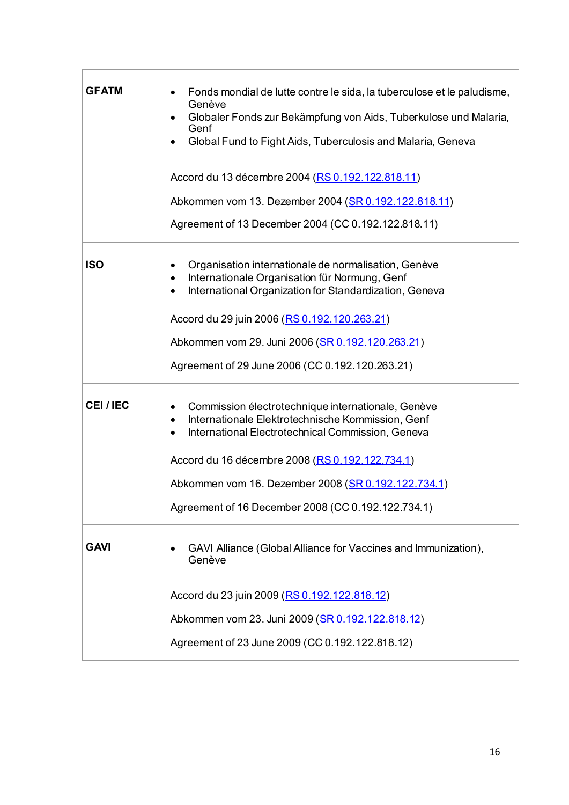| <b>GFATM</b>   | Fonds mondial de lutte contre le sida, la tuberculose et le paludisme,<br>Genève<br>Globaler Fonds zur Bekämpfung von Aids, Tuberkulose und Malaria,<br>$\bullet$<br>Genf<br>Global Fund to Fight Aids, Tuberculosis and Malaria, Geneva<br>$\bullet$<br>Accord du 13 décembre 2004 (RS 0.192.122.818.11)<br>Abkommen vom 13. Dezember 2004 (SR 0.192.122.818.11)<br>Agreement of 13 December 2004 (CC 0.192.122.818.11) |
|----------------|--------------------------------------------------------------------------------------------------------------------------------------------------------------------------------------------------------------------------------------------------------------------------------------------------------------------------------------------------------------------------------------------------------------------------|
| <b>ISO</b>     | Organisation internationale de normalisation, Genève<br>٠<br>Internationale Organisation für Normung, Genf<br>٠<br>International Organization for Standardization, Geneva<br>$\bullet$<br>Accord du 29 juin 2006 (RS 0.192.120.263.21)<br>Abkommen vom 29. Juni 2006 (SR 0.192.120.263.21)<br>Agreement of 29 June 2006 (CC 0.192.120.263.21)                                                                            |
| <b>CEI/IEC</b> | Commission électrotechnique internationale, Genève<br>$\bullet$<br>Internationale Elektrotechnische Kommission, Genf<br>٠<br>International Electrotechnical Commission, Geneva<br>٠<br>Accord du 16 décembre 2008 (RS 0.192.122.734.1)<br>Abkommen vom 16. Dezember 2008 (SR 0.192.122.734.1)<br>Agreement of 16 December 2008 (CC 0.192.122.734.1)                                                                      |
| <b>GAVI</b>    | GAVI Alliance (Global Alliance for Vaccines and Immunization),<br>Genève<br>Accord du 23 juin 2009 (RS 0.192.122.818.12)<br>Abkommen vom 23. Juni 2009 (SR 0.192.122.818.12)<br>Agreement of 23 June 2009 (CC 0.192.122.818.12)                                                                                                                                                                                          |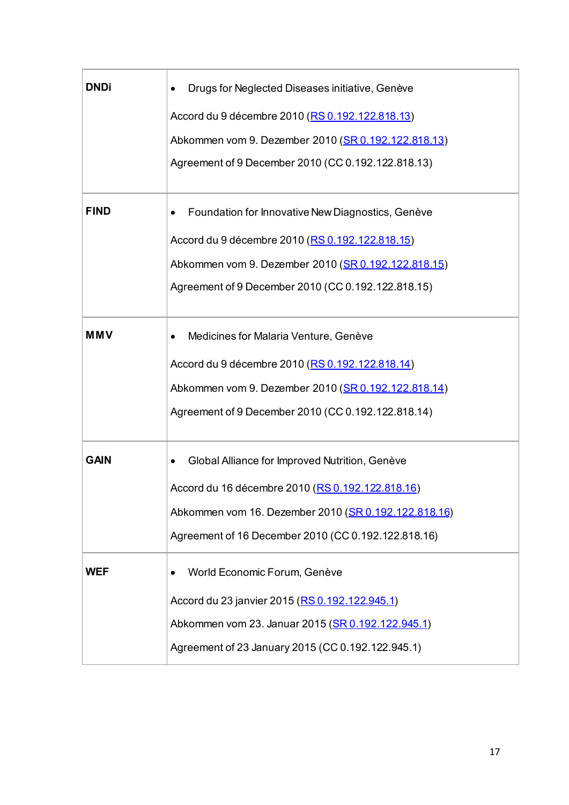| DNDi        | Drugs for Neglected Diseases initiative, Genève        |
|-------------|--------------------------------------------------------|
|             | Accord du 9 décembre 2010 (RS 0.192.122.818.13)        |
|             | Abkommen vom 9. Dezember 2010 (SR 0.192.122.818.13)    |
|             | Agreement of 9 December 2010 (CC 0.192.122.818.13)     |
| <b>FIND</b> | Foundation for Innovative New Diagnostics, Genève<br>٠ |
|             | Accord du 9 décembre 2010 (RS 0.192.122.818.15)        |
|             | Abkommen vom 9. Dezember 2010 (SR 0.192.122.818.15)    |
|             | Agreement of 9 December 2010 (CC 0.192.122.818.15)     |
| <b>MMV</b>  | Medicines for Malaria Venture, Genève<br>$\bullet$     |
|             | Accord du 9 décembre 2010 (RS 0.192.122.818.14)        |
|             | Abkommen vom 9. Dezember 2010 (SR 0.192.122.818.14)    |
|             | Agreement of 9 December 2010 (CC 0.192.122.818.14)     |
| <b>GAIN</b> | Global Alliance for Improved Nutrition, Genève<br>٠    |
|             | Accord du 16 décembre 2010 (RS 0.192.122.818.16)       |
|             | Abkommen vom 16. Dezember 2010 (SR 0.192.122.818.16)   |
|             | Agreement of 16 December 2010 (CC 0.192.122.818.16)    |
| <b>WEF</b>  | World Economic Forum, Genève<br>$\bullet$              |
|             | Accord du 23 janvier 2015 (RS 0.192.122.945.1)         |
|             | Abkommen vom 23. Januar 2015 (SR 0.192.122.945.1)      |
|             | Agreement of 23 January 2015 (CC 0.192.122.945.1)      |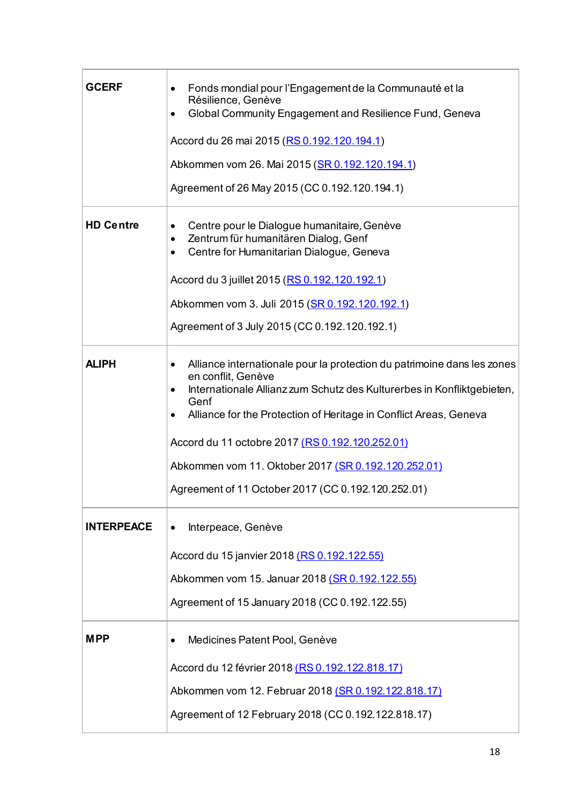| <b>GCERF</b>      | Fonds mondial pour l'Engagement de la Communauté et la<br>Résilience, Genève<br>Global Community Engagement and Resilience Fund, Geneva<br>$\bullet$<br>Accord du 26 mai 2015 (RS 0.192.120.194.1)<br>Abkommen vom 26. Mai 2015 (SR 0.192.120.194.1)<br>Agreement of 26 May 2015 (CC 0.192.120.194.1)                                                                                                                             |
|-------------------|-----------------------------------------------------------------------------------------------------------------------------------------------------------------------------------------------------------------------------------------------------------------------------------------------------------------------------------------------------------------------------------------------------------------------------------|
| <b>HD Centre</b>  | Centre pour le Dialogue humanitaire, Genève<br>$\bullet$<br>Zentrum für humanitären Dialog, Genf<br>$\bullet$<br>Centre for Humanitarian Dialogue, Geneva<br>$\bullet$<br>Accord du 3 juillet 2015 (RS 0.192.120.192.1)<br>Abkommen vom 3. Juli 2015 (SR 0.192.120.192.1)<br>Agreement of 3 July 2015 (CC 0.192.120.192.1)                                                                                                        |
| <b>ALIPH</b>      | Alliance internationale pour la protection du patrimoine dans les zones<br>$\bullet$<br>en conflit, Genève<br>Internationale Allianz zum Schutz des Kulturerbes in Konfliktgebieten,<br>Genf<br>Alliance for the Protection of Heritage in Conflict Areas, Geneva<br>Accord du 11 octobre 2017 (RS 0.192.120.252.01)<br>Abkommen vom 11. Oktober 2017 (SR 0.192.120.252.01)<br>Agreement of 11 October 2017 (CC 0.192.120.252.01) |
| <b>INTERPEACE</b> | Interpeace, Genève<br>$\bullet$<br>Accord du 15 janvier 2018 (RS 0.192.122.55)<br>Abkommen vom 15. Januar 2018 (SR 0.192.122.55)<br>Agreement of 15 January 2018 (CC 0.192.122.55)                                                                                                                                                                                                                                                |
| <b>MPP</b>        | Medicines Patent Pool, Genève<br>$\bullet$<br>Accord du 12 février 2018 (RS 0.192.122.818.17)<br>Abkommen vom 12. Februar 2018 (SR 0.192.122.818.17)<br>Agreement of 12 February 2018 (CC 0.192.122.818.17)                                                                                                                                                                                                                       |